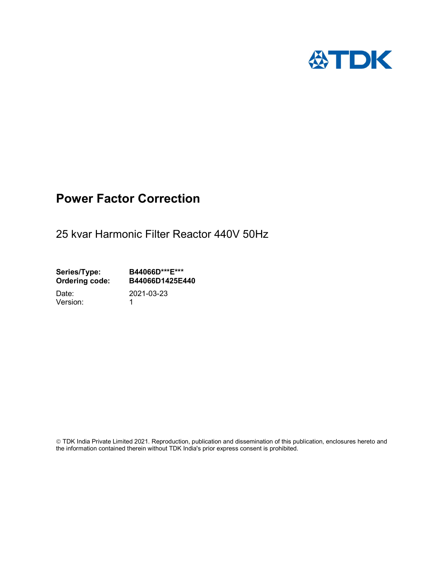

# Power Factor Correction

25 kvar Harmonic Filter Reactor 440V 50Hz

Series/Type: B44066D\*\*\*E\*\*\*<br>Ordering code: B44066D1425E4 B44066D1425E440

Version: 1

Date: 2021-03-23

 TDK India Private Limited 2021. Reproduction, publication and dissemination of this publication, enclosures hereto and the information contained therein without TDK India's prior express consent is prohibited.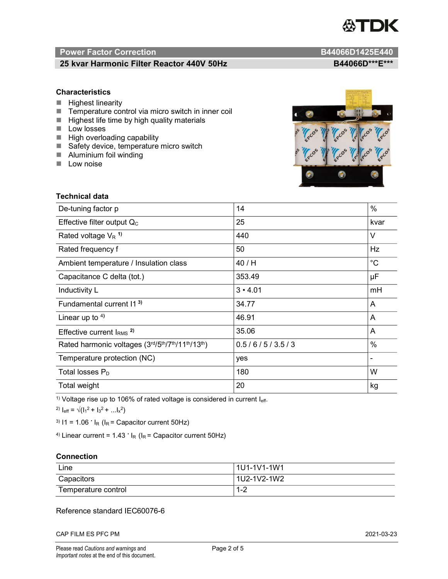

# Power Factor Correction and Content of Content of Content of Content of Content of Content of Content of Content of Content of Content of Content of Content of Content of Content of Content of Content of Content of Content

# 25 kvar Harmonic Filter Reactor 440V 50Hz BA4066D\*\*\*E\*\*\*

## **Characteristics**

- $H$  Highest linearity
- Temperature control via micro switch in inner coil
- $\blacksquare$  Highest life time by high quality materials
- **Low** losses
- $\blacksquare$  High overloading capability
- Safety device, temperature micro switch
- **Aluminium foil winding**
- **Low noise**

Technical data



| De-tuning factor p                              | 14             | $\%$        |
|-------------------------------------------------|----------------|-------------|
| Effective filter output $Q_C$                   | 25             | kvar        |
| Rated voltage $V_R$ <sup>1)</sup>               | 440            | V           |
| Rated frequency f                               | 50             | Hz          |
| Ambient temperature / Insulation class          | 40/H           | $^{\circ}C$ |
| Capacitance C delta (tot.)                      | 353.49         | μF          |
| Inductivity L                                   | $3 \cdot 4.01$ | mH          |
| Fundamental current 11 <sup>3)</sup>            | 34.77          | A           |
| Linear up to $4$ )                              | 46.91          | A           |
| Effective current $IRMS$ <sup>2)</sup>          | 35.06          | A           |
| Rated harmonic voltages (3rd/5th/7th/11th/13th) | 0.5/6/5/3.5/3  | $\%$        |
| Temperature protection (NC)                     | yes            |             |
| Total losses $P_D$                              | 180            | W           |
| Total weight                                    | 20<br>kg       |             |

<sup>1)</sup> Voltage rise up to 106% of rated voltage is considered in current  $I_{\text{eff}}$ .

<sup>2)</sup>  $I_{eff} = \sqrt{(I_1^2 + I_3^2 + ... I_x^2)}$ 

<sup>3)</sup>  $11 = 1.06$   $\cdot$   $I_R$  ( $I_R$  = Capacitor current 50Hz)

<sup>4)</sup> Linear current =  $1.43$   $\cdot$  I<sub>R</sub> (I<sub>R</sub> = Capacitor current 50Hz)

#### **Connection**

| Line                | l 1U1-1V1-1W1       |
|---------------------|---------------------|
| Capacitors          | l 1U2-1V2-1W2       |
| Temperature control | <u> 4 ຕ</u><br>ے- ا |

## Reference standard IEC60076-6

CAP FILM ES PFC PM 2021-03-23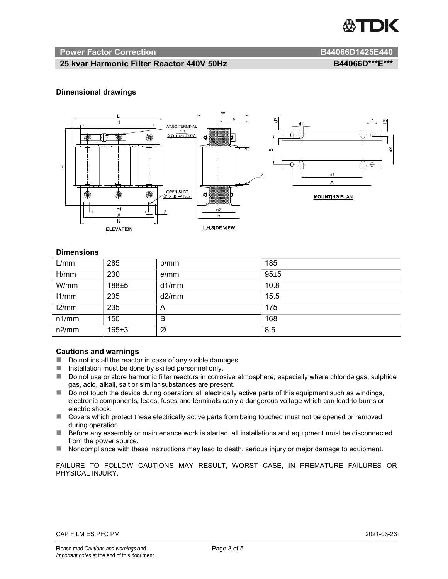

#### Power Factor Correction and B44066D1425E440

# 25 kvar Harmonic Filter Reactor 440V 50Hz BA4066D\*\*\*E\*\*\*

#### Dimensional drawings



#### **Dimensions**

| L/mm  | 285         | b/mm  | 185  |
|-------|-------------|-------|------|
| H/mm  | 230         | e/mm  | 95±5 |
| W/mm  | $188 \pm 5$ | d1/mm | 10.8 |
| 11/mm | 235         | d2/mm | 15.5 |
| 12/mm | 235         | A     | 175  |
| n1/mm | 150         | В     | 168  |
| n2/mm | 165±3       | Ø     | 8.5  |

#### Cautions and warnings

- Do not install the reactor in case of any visible damages.
- Installation must be done by skilled personnel only.
- Do not use or store harmonic filter reactors in corrosive atmosphere, especially where chloride gas, sulphide gas, acid, alkali, salt or similar substances are present.
- Do not touch the device during operation: all electrically active parts of this equipment such as windings, electronic components, leads, fuses and terminals carry a dangerous voltage which can lead to burns or electric shock.
- Covers which protect these electrically active parts from being touched must not be opened or removed during operation.
- Before any assembly or maintenance work is started, all installations and equipment must be disconnected from the power source.
- Noncompliance with these instructions may lead to death, serious injury or major damage to equipment.

FAILURE TO FOLLOW CAUTIONS MAY RESULT, WORST CASE, IN PREMATURE FAILURES OR PHYSICAL INJURY.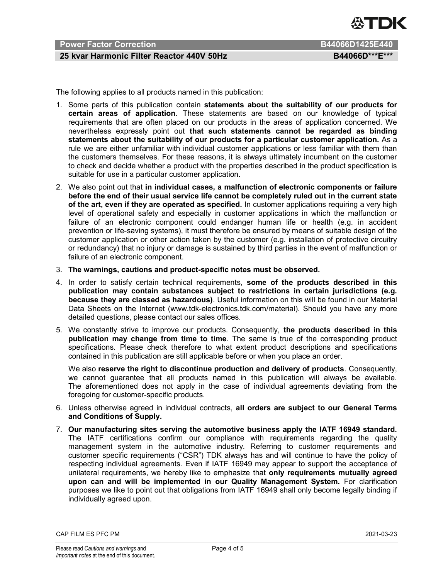

### Power Factor Correction **B44066D1425E440**

# 25 kvar Harmonic Filter Reactor 440V 50Hz BA4066D\*\*\*E\*\*\*

The following applies to all products named in this publication:

- 1. Some parts of this publication contain statements about the suitability of our products for certain areas of application. These statements are based on our knowledge of typical requirements that are often placed on our products in the areas of application concerned. We nevertheless expressly point out that such statements cannot be regarded as binding statements about the suitability of our products for a particular customer application. As a rule we are either unfamiliar with individual customer applications or less familiar with them than the customers themselves. For these reasons, it is always ultimately incumbent on the customer to check and decide whether a product with the properties described in the product specification is suitable for use in a particular customer application.
- 2. We also point out that in individual cases, a malfunction of electronic components or failure before the end of their usual service life cannot be completely ruled out in the current state of the art, even if they are operated as specified. In customer applications requiring a very high level of operational safety and especially in customer applications in which the malfunction or failure of an electronic component could endanger human life or health (e.g. in accident prevention or life-saving systems), it must therefore be ensured by means of suitable design of the customer application or other action taken by the customer (e.g. installation of protective circuitry or redundancy) that no injury or damage is sustained by third parties in the event of malfunction or failure of an electronic component.
- 3. The warnings, cautions and product-specific notes must be observed.
- 4. In order to satisfy certain technical requirements, some of the products described in this publication may contain substances subject to restrictions in certain jurisdictions (e.g. because they are classed as hazardous). Useful information on this will be found in our Material Data Sheets on the Internet (www.tdk-electronics.tdk.com/material). Should you have any more detailed questions, please contact our sales offices.
- 5. We constantly strive to improve our products. Consequently, the products described in this publication may change from time to time. The same is true of the corresponding product specifications. Please check therefore to what extent product descriptions and specifications contained in this publication are still applicable before or when you place an order.

We also reserve the right to discontinue production and delivery of products. Consequently, we cannot guarantee that all products named in this publication will always be available. The aforementioned does not apply in the case of individual agreements deviating from the foregoing for customer-specific products.

- 6. Unless otherwise agreed in individual contracts, all orders are subject to our General Terms and Conditions of Supply.
- 7. Our manufacturing sites serving the automotive business apply the IATF 16949 standard. The IATF certifications confirm our compliance with requirements regarding the quality management system in the automotive industry. Referring to customer requirements and customer specific requirements ("CSR") TDK always has and will continue to have the policy of respecting individual agreements. Even if IATF 16949 may appear to support the acceptance of unilateral requirements, we hereby like to emphasize that only requirements mutually agreed upon can and will be implemented in our Quality Management System. For clarification purposes we like to point out that obligations from IATF 16949 shall only become legally binding if individually agreed upon.